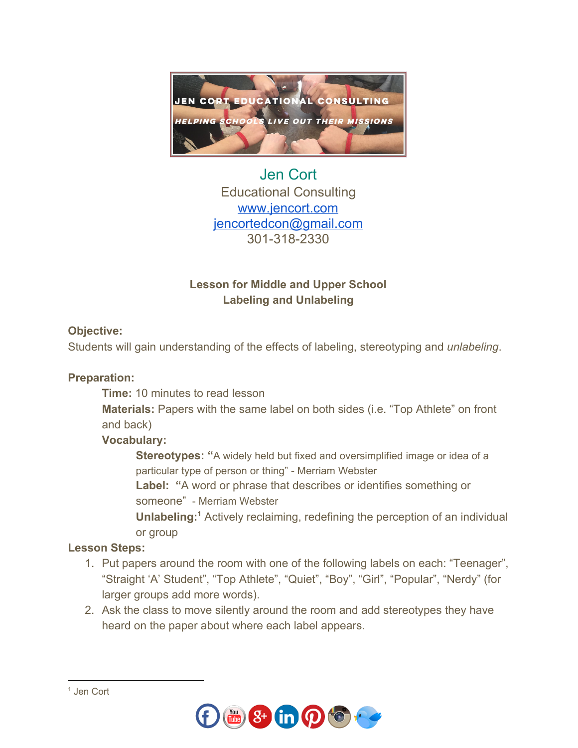

Jen Cort Educational Consulting [www.jencort.com](http://www.jencort.com/) [jencortedcon@gmail.com](mailto:jencortedcon@gmail.com) 301-318-2330

# **Lesson for Middle and Upper School Labeling and Unlabeling**

## **Objective:**

Students will gain understanding of the effects of labeling, stereotyping and *unlabeling*.

## **Preparation:**

**Time:** 10 minutes to read lesson

**Materials:** Papers with the same label on both sides (i.e. "Top Athlete" on front and back)

## **Vocabulary:**

**Stereotypes: "**A widely held but fixed and oversimplified image or idea of a particular type of person or thing" - Merriam Webster

**Label: "**A word or phrase that describes or identifies something or someone" - Merriam Webster

**Unlabeling:**<sup>1</sup> Actively reclaiming, redefining the perception of an individual or group

## **Lesson Steps:**

- 1. Put papers around the room with one of the following labels on each: "Teenager", "Straight 'A' Student", "Top Athlete", "Quiet", "Boy", "Girl", "Popular", "Nerdy" (for larger groups add more words).
- 2. Ask the class to move silently around the room and add stereotypes they have heard on the paper about where each label appears.



<sup>1</sup> Jen Cort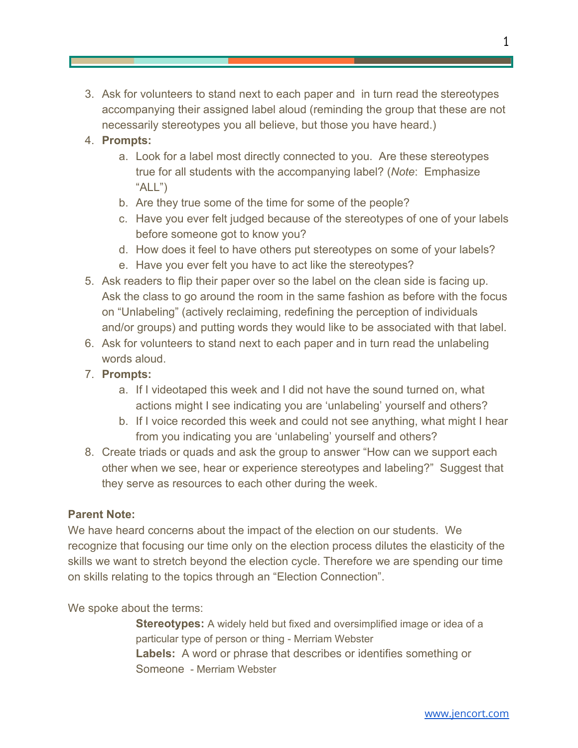3. Ask for volunteers to stand next to each paper and in turn read the stereotypes accompanying their assigned label aloud (reminding the group that these are not necessarily stereotypes you all believe, but those you have heard.)

### 4. **Prompts:**

- a. Look for a label most directly connected to you. Are these stereotypes true for all students with the accompanying label? (*Note*: Emphasize " $ALL$ ")
- b. Are they true some of the time for some of the people?
- c. Have you ever felt judged because of the stereotypes of one of your labels before someone got to know you?
- d. How does it feel to have others put stereotypes on some of your labels?
- e. Have you ever felt you have to act like the stereotypes?
- 5. Ask readers to flip their paper over so the label on the clean side is facing up. Ask the class to go around the room in the same fashion as before with the focus on "Unlabeling" (actively reclaiming, redefining the perception of individuals and/or groups) and putting words they would like to be associated with that label.
- 6. Ask for volunteers to stand next to each paper and in turn read the unlabeling words aloud.
- 7. **Prompts:**
	- a. If I videotaped this week and I did not have the sound turned on, what actions might I see indicating you are 'unlabeling' yourself and others?
	- b. If I voice recorded this week and could not see anything, what might I hear from you indicating you are 'unlabeling' yourself and others?
- 8. Create triads or quads and ask the group to answer "How can we support each other when we see, hear or experience stereotypes and labeling?" Suggest that they serve as resources to each other during the week.

#### **Parent Note:**

We have heard concerns about the impact of the election on our students. We recognize that focusing our time only on the election process dilutes the elasticity of the skills we want to stretch beyond the election cycle. Therefore we are spending our time on skills relating to the topics through an "Election Connection".

We spoke about the terms:

**Stereotypes:** A widely held but fixed and oversimplified image or idea of a particular type of person or thing - Merriam Webster **Labels:** A word or phrase that describes or identifies something or Someone - Merriam Webster